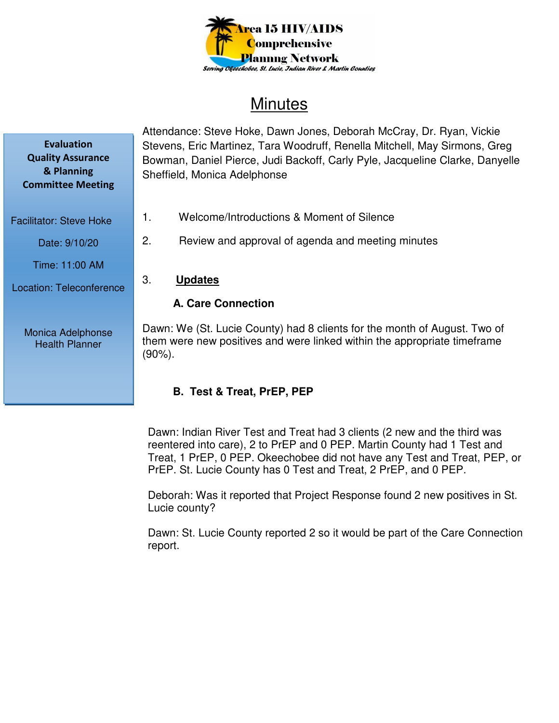

# **Minutes**

Attendance: Steve Hoke, Dawn Jones, Deborah McCray, Dr. Ryan, Vickie Stevens, Eric Martinez, Tara Woodruff, Renella Mitchell, May Sirmons, Greg Bowman, Daniel Pierce, Judi Backoff, Carly Pyle, Jacqueline Clarke, Danyelle Sheffield, Monica Adelphonse

- 1. Welcome/Introductions & Moment of Silence
- 2. Review and approval of agenda and meeting minutes
- 3. **Updates**

## **A. Care Connection**

Dawn: We (St. Lucie County) had 8 clients for the month of August. Two of them were new positives and were linked within the appropriate timeframe (90%).

# **B. Test & Treat, PrEP, PEP**

Dawn: Indian River Test and Treat had 3 clients (2 new and the third was reentered into care), 2 to PrEP and 0 PEP. Martin County had 1 Test and Treat, 1 PrEP, 0 PEP. Okeechobee did not have any Test and Treat, PEP, or PrEP. St. Lucie County has 0 Test and Treat, 2 PrEP, and 0 PEP.

Deborah: Was it reported that Project Response found 2 new positives in St. Lucie county?

Dawn: St. Lucie County reported 2 so it would be part of the Care Connection report.

**Evaluation Quality Assurance & Planning Committee Meeting** 

Facilitator: Steve Hoke

Date: 9/10/20

Time: 11:00 AM

Location: Teleconference

Monica Adelphonse Health Planner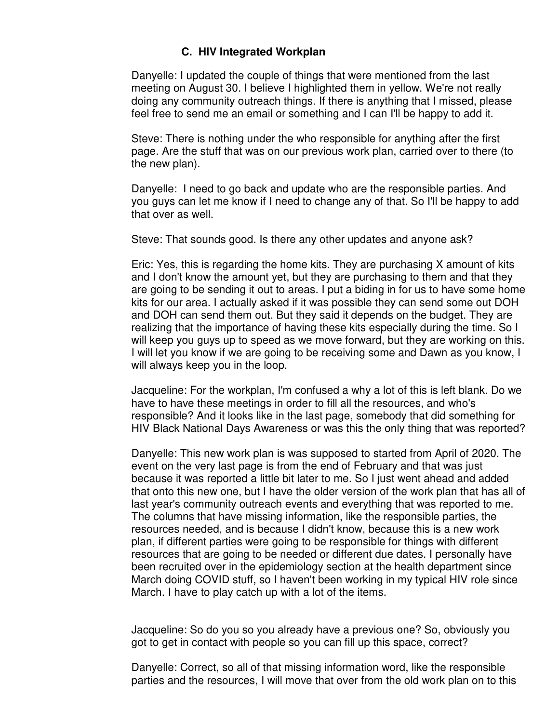#### **C. HIV Integrated Workplan**

Danyelle: I updated the couple of things that were mentioned from the last meeting on August 30. I believe I highlighted them in yellow. We're not really doing any community outreach things. If there is anything that I missed, please feel free to send me an email or something and I can I'll be happy to add it.

Steve: There is nothing under the who responsible for anything after the first page. Are the stuff that was on our previous work plan, carried over to there (to the new plan).

Danyelle: I need to go back and update who are the responsible parties. And you guys can let me know if I need to change any of that. So I'll be happy to add that over as well.

Steve: That sounds good. Is there any other updates and anyone ask?

Eric: Yes, this is regarding the home kits. They are purchasing X amount of kits and I don't know the amount yet, but they are purchasing to them and that they are going to be sending it out to areas. I put a biding in for us to have some home kits for our area. I actually asked if it was possible they can send some out DOH and DOH can send them out. But they said it depends on the budget. They are realizing that the importance of having these kits especially during the time. So I will keep you guys up to speed as we move forward, but they are working on this. I will let you know if we are going to be receiving some and Dawn as you know, I will always keep you in the loop.

Jacqueline: For the workplan, I'm confused a why a lot of this is left blank. Do we have to have these meetings in order to fill all the resources, and who's responsible? And it looks like in the last page, somebody that did something for HIV Black National Days Awareness or was this the only thing that was reported?

Danyelle: This new work plan is was supposed to started from April of 2020. The event on the very last page is from the end of February and that was just because it was reported a little bit later to me. So I just went ahead and added that onto this new one, but I have the older version of the work plan that has all of last year's community outreach events and everything that was reported to me. The columns that have missing information, like the responsible parties, the resources needed, and is because I didn't know, because this is a new work plan, if different parties were going to be responsible for things with different resources that are going to be needed or different due dates. I personally have been recruited over in the epidemiology section at the health department since March doing COVID stuff, so I haven't been working in my typical HIV role since March. I have to play catch up with a lot of the items.

Jacqueline: So do you so you already have a previous one? So, obviously you got to get in contact with people so you can fill up this space, correct?

Danyelle: Correct, so all of that missing information word, like the responsible parties and the resources, I will move that over from the old work plan on to this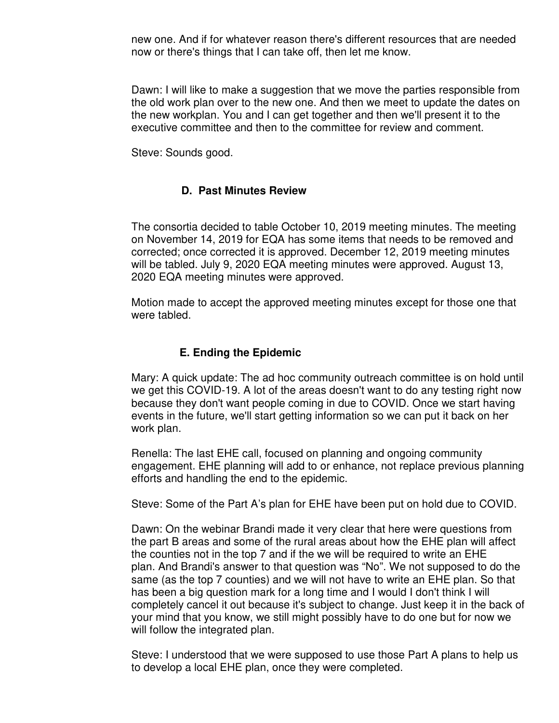new one. And if for whatever reason there's different resources that are needed now or there's things that I can take off, then let me know.

Dawn: I will like to make a suggestion that we move the parties responsible from the old work plan over to the new one. And then we meet to update the dates on the new workplan. You and I can get together and then we'll present it to the executive committee and then to the committee for review and comment.

Steve: Sounds good.

#### **D. Past Minutes Review**

The consortia decided to table October 10, 2019 meeting minutes. The meeting on November 14, 2019 for EQA has some items that needs to be removed and corrected; once corrected it is approved. December 12, 2019 meeting minutes will be tabled. July 9, 2020 EQA meeting minutes were approved. August 13, 2020 EQA meeting minutes were approved.

Motion made to accept the approved meeting minutes except for those one that were tabled.

#### **E. Ending the Epidemic**

Mary: A quick update: The ad hoc community outreach committee is on hold until we get this COVID-19. A lot of the areas doesn't want to do any testing right now because they don't want people coming in due to COVID. Once we start having events in the future, we'll start getting information so we can put it back on her work plan.

Renella: The last EHE call, focused on planning and ongoing community engagement. EHE planning will add to or enhance, not replace previous planning efforts and handling the end to the epidemic.

Steve: Some of the Part A's plan for EHE have been put on hold due to COVID.

Dawn: On the webinar Brandi made it very clear that here were questions from the part B areas and some of the rural areas about how the EHE plan will affect the counties not in the top 7 and if the we will be required to write an EHE plan. And Brandi's answer to that question was "No". We not supposed to do the same (as the top 7 counties) and we will not have to write an EHE plan. So that has been a big question mark for a long time and I would I don't think I will completely cancel it out because it's subject to change. Just keep it in the back of your mind that you know, we still might possibly have to do one but for now we will follow the integrated plan.

Steve: I understood that we were supposed to use those Part A plans to help us to develop a local EHE plan, once they were completed.